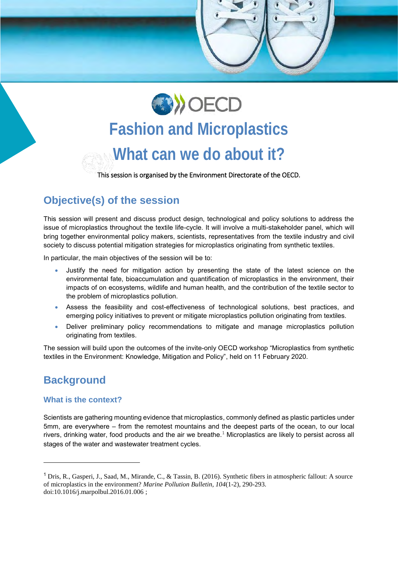

# **Fashion and Microplastics What can we do about it?**

This session is organised by the Environment Directorate of the OECD.

## **Objective(s) of the session**

This session will present and discuss product design, technological and policy solutions to address the issue of microplastics throughout the textile life-cycle. It will involve a multi-stakeholder panel, which will bring together environmental policy makers, scientists, representatives from the textile industry and civil society to discuss potential mitigation strategies for microplastics originating from synthetic textiles.

In particular, the main objectives of the session will be to:

- Justify the need for mitigation action by presenting the state of the latest science on the environmental fate, bioaccumulation and quantification of microplastics in the environment, their impacts of on ecosystems, wildlife and human health, and the contribution of the textile sector to the problem of microplastics pollution.
- Assess the feasibility and cost-effectiveness of technological solutions, best practices, and emerging policy initiatives to prevent or mitigate microplastics pollution originating from textiles.
- Deliver preliminary policy recommendations to mitigate and manage microplastics pollution originating from textiles.

The session will build upon the outcomes of the invite-only OECD workshop "Microplastics from synthetic textiles in the Environment: Knowledge, Mitigation and Policy", held on 11 February 2020.

### **Background**

#### **What is the context?**

Scientists are gathering mounting evidence that microplastics, commonly defined as plastic particles under 5mm, are everywhere – from the remotest mountains and the deepest parts of the ocean, to our local rivers, drinking water, food products and the air we breathe. $1$  Microplastics are likely to persist across all stages of the water and wastewater treatment cycles.

<sup>1</sup> Dris, R., Gasperi, J., Saad, M., Mirande, C., & Tassin, B. (2016). Synthetic fibers in atmospheric fallout: A source of microplastics in the environment? *Marine Pollution Bulletin, 104*(1-2), 290-293. doi:10.1016/j.marpolbul.2016.01.006 ;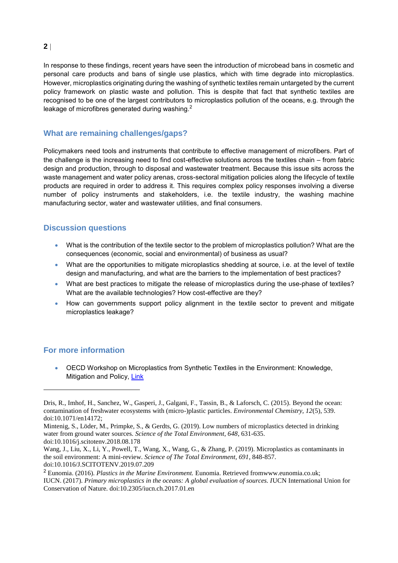In response to these findings, recent years have seen the introduction of microbead bans in cosmetic and personal care products and bans of single use plastics, which with time degrade into microplastics. However, microplastics originating during the washing of synthetic textiles remain untargeted by the current policy framework on plastic waste and pollution. This is despite that fact that synthetic textiles are recognised to be one of the largest contributors to microplastics pollution of the oceans, e.g. through the leakage of microfibres generated during washing.<sup>2</sup>

#### **What are remaining challenges/gaps?**

Policymakers need tools and instruments that contribute to effective management of microfibers. Part of the challenge is the increasing need to find cost-effective solutions across the textiles chain – from fabric design and production, through to disposal and wastewater treatment. Because this issue sits across the waste management and water policy arenas, cross-sectoral mitigation policies along the lifecycle of textile products are required in order to address it. This requires complex policy responses involving a diverse number of policy instruments and stakeholders, i.e. the textile industry, the washing machine manufacturing sector, water and wastewater utilities, and final consumers.

#### **Discussion questions**

- What is the contribution of the textile sector to the problem of microplastics pollution? What are the consequences (economic, social and environmental) of business as usual?
- What are the opportunities to mitigate microplastics shedding at source, i.e. at the level of textile design and manufacturing, and what are the barriers to the implementation of best practices?
- What are best practices to mitigate the release of microplastics during the use-phase of textiles? What are the available technologies? How cost-effective are they?
- How can governments support policy alignment in the textile sector to prevent and mitigate microplastics leakage?

#### **For more information**

 $\overline{a}$ 

 OECD Workshop on Microplastics from Synthetic Textiles in the Environment: Knowledge, Mitigation and Policy, [Link](http://www.oecd.org/water/OECDWorkshoponMicroplasticsfromSyntheticTextilesintheEnvironmentKnowledgeMitigationandPolicy.htm)

Dris, R., Imhof, H., Sanchez, W., Gasperi, J., Galgani, F., Tassin, B., & Laforsch, C. (2015). Beyond the ocean: contamination of freshwater ecosystems with (micro-)plastic particles. *Environmental Chemistry, 12*(5), 539. doi:10.1071/en14172;

Mintenig, S., Löder, M., Primpke, S., & Gerdts, G. (2019). Low numbers of microplastics detected in drinking water from ground water sources. *Science of the Total Environment, 648*, 631-635. doi:10.1016/j.scitotenv.2018.08.178

Wang, J., Liu, X., Li, Y., Powell, T., Wang, X., Wang, G., & Zhang, P. (2019). Microplastics as contaminants in the soil environment: A mini-review. *Science of The Total Environment, 691*, 848-857.

doi:10.1016/J.SCITOTENV.2019.07.209

<sup>2</sup> Eunomia. (2016). *Plastics in the Marine Environment.* Eunomia. Retrieved fromwww.eunomia.co.uk;

IUCN. (2017). *Primary microplastics in the oceans: A global evaluation of sources. I*UCN International Union for Conservation of Nature. doi:10.2305/iucn.ch.2017.01.en